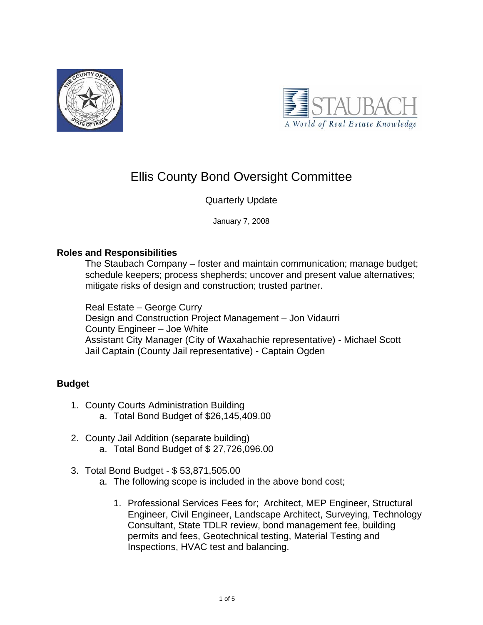



# Ellis County Bond Oversight Committee

# Quarterly Update

January 7, 2008

## **Roles and Responsibilities**

The Staubach Company – foster and maintain communication; manage budget; schedule keepers; process shepherds; uncover and present value alternatives; mitigate risks of design and construction; trusted partner.

Real Estate – George Curry Design and Construction Project Management – Jon Vidaurri County Engineer – Joe White Assistant City Manager (City of Waxahachie representative) - Michael Scott Jail Captain (County Jail representative) - Captain Ogden

# **Budget**

- 1. County Courts Administration Building a. Total Bond Budget of \$26,145,409.00
- 2. County Jail Addition (separate building) a. Total Bond Budget of \$ 27,726,096.00
- 3. Total Bond Budget \$ 53,871,505.00
	- a. The following scope is included in the above bond cost;
		- 1. Professional Services Fees for; Architect, MEP Engineer, Structural Engineer, Civil Engineer, Landscape Architect, Surveying, Technology Consultant, State TDLR review, bond management fee, building permits and fees, Geotechnical testing, Material Testing and Inspections, HVAC test and balancing.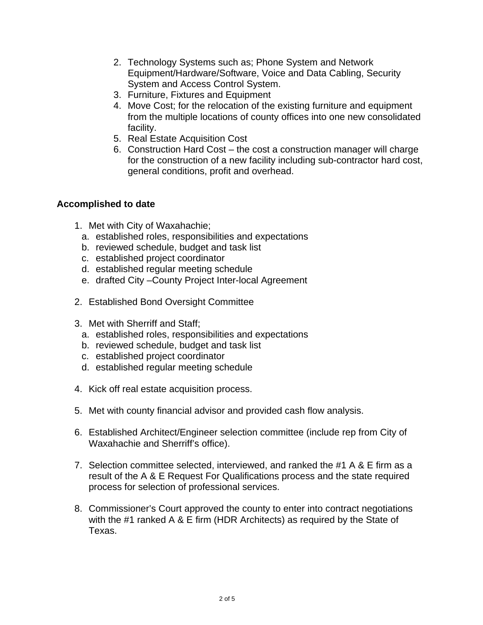- 2. Technology Systems such as; Phone System and Network Equipment/Hardware/Software, Voice and Data Cabling, Security System and Access Control System.
- 3. Furniture, Fixtures and Equipment
- 4. Move Cost; for the relocation of the existing furniture and equipment from the multiple locations of county offices into one new consolidated facility.
- 5. Real Estate Acquisition Cost
- 6. Construction Hard Cost the cost a construction manager will charge for the construction of a new facility including sub-contractor hard cost, general conditions, profit and overhead.

## **Accomplished to date**

- 1. Met with City of Waxahachie;
	- a. established roles, responsibilities and expectations
	- b. reviewed schedule, budget and task list
	- c. established project coordinator
	- d. established regular meeting schedule
	- e. drafted City –County Project Inter-local Agreement
- 2. Established Bond Oversight Committee
- 3. Met with Sherriff and Staff;
	- a. established roles, responsibilities and expectations
	- b. reviewed schedule, budget and task list
	- c. established project coordinator
	- d. established regular meeting schedule
- 4. Kick off real estate acquisition process.
- 5. Met with county financial advisor and provided cash flow analysis.
- 6. Established Architect/Engineer selection committee (include rep from City of Waxahachie and Sherriff's office).
- 7. Selection committee selected, interviewed, and ranked the #1 A & E firm as a result of the A & E Request For Qualifications process and the state required process for selection of professional services.
- 8. Commissioner's Court approved the county to enter into contract negotiations with the #1 ranked A & E firm (HDR Architects) as required by the State of Texas.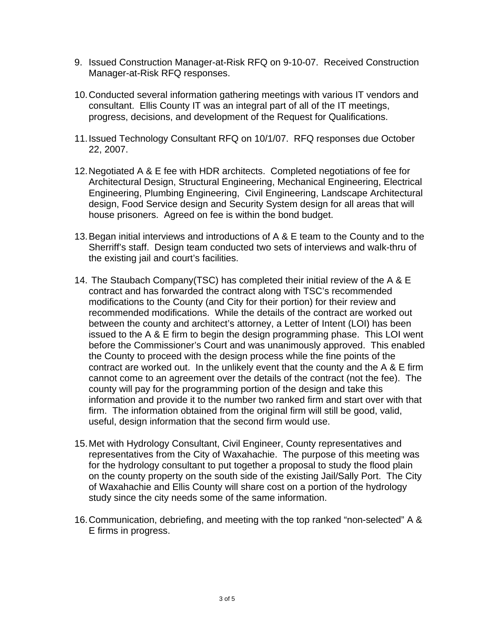- 9. Issued Construction Manager-at-Risk RFQ on 9-10-07. Received Construction Manager-at-Risk RFQ responses.
- 10. Conducted several information gathering meetings with various IT vendors and consultant. Ellis County IT was an integral part of all of the IT meetings, progress, decisions, and development of the Request for Qualifications.
- 11. Issued Technology Consultant RFQ on 10/1/07. RFQ responses due October 22, 2007.
- 12. Negotiated A & E fee with HDR architects. Completed negotiations of fee for Architectural Design, Structural Engineering, Mechanical Engineering, Electrical Engineering, Plumbing Engineering, Civil Engineering, Landscape Architectural design, Food Service design and Security System design for all areas that will house prisoners. Agreed on fee is within the bond budget.
- 13. Began initial interviews and introductions of A & E team to the County and to the Sherriff's staff. Design team conducted two sets of interviews and walk-thru of the existing jail and court's facilities.
- 14. The Staubach Company(TSC) has completed their initial review of the A & E contract and has forwarded the contract along with TSC's recommended modifications to the County (and City for their portion) for their review and recommended modifications. While the details of the contract are worked out between the county and architect's attorney, a Letter of Intent (LOI) has been issued to the A & E firm to begin the design programming phase. This LOI went before the Commissioner's Court and was unanimously approved. This enabled the County to proceed with the design process while the fine points of the contract are worked out. In the unlikely event that the county and the A & E firm cannot come to an agreement over the details of the contract (not the fee). The county will pay for the programming portion of the design and take this information and provide it to the number two ranked firm and start over with that firm. The information obtained from the original firm will still be good, valid, useful, design information that the second firm would use.
- 15. Met with Hydrology Consultant, Civil Engineer, County representatives and representatives from the City of Waxahachie. The purpose of this meeting was for the hydrology consultant to put together a proposal to study the flood plain on the county property on the south side of the existing Jail/Sally Port. The City of Waxahachie and Ellis County will share cost on a portion of the hydrology study since the city needs some of the same information.
- 16. Communication, debriefing, and meeting with the top ranked "non-selected" A & E firms in progress.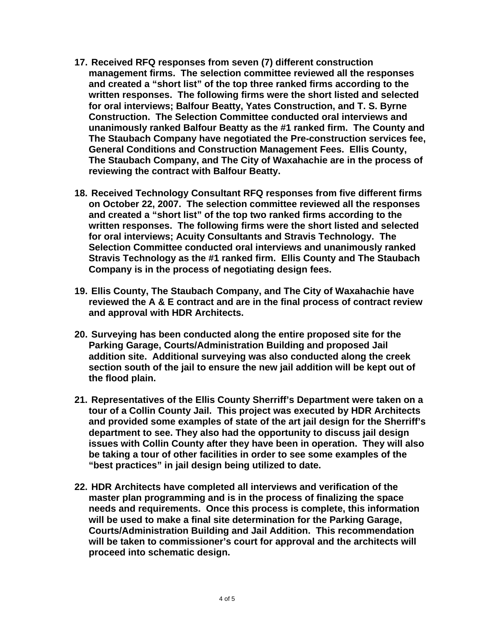- **17. Received RFQ responses from seven (7) different construction management firms. The selection committee reviewed all the responses and created a "short list" of the top three ranked firms according to the written responses. The following firms were the short listed and selected for oral interviews; Balfour Beatty, Yates Construction, and T. S. Byrne Construction. The Selection Committee conducted oral interviews and unanimously ranked Balfour Beatty as the #1 ranked firm. The County and The Staubach Company have negotiated the Pre-construction services fee, General Conditions and Construction Management Fees. Ellis County, The Staubach Company, and The City of Waxahachie are in the process of reviewing the contract with Balfour Beatty.**
- **18. Received Technology Consultant RFQ responses from five different firms on October 22, 2007. The selection committee reviewed all the responses and created a "short list" of the top two ranked firms according to the written responses. The following firms were the short listed and selected for oral interviews; Acuity Consultants and Stravis Technology. The Selection Committee conducted oral interviews and unanimously ranked Stravis Technology as the #1 ranked firm. Ellis County and The Staubach Company is in the process of negotiating design fees.**
- **19. Ellis County, The Staubach Company, and The City of Waxahachie have reviewed the A & E contract and are in the final process of contract review and approval with HDR Architects.**
- **20. Surveying has been conducted along the entire proposed site for the Parking Garage, Courts/Administration Building and proposed Jail addition site. Additional surveying was also conducted along the creek section south of the jail to ensure the new jail addition will be kept out of the flood plain.**
- **21. Representatives of the Ellis County Sherriff's Department were taken on a tour of a Collin County Jail. This project was executed by HDR Architects and provided some examples of state of the art jail design for the Sherriff's department to see. They also had the opportunity to discuss jail design issues with Collin County after they have been in operation. They will also be taking a tour of other facilities in order to see some examples of the "best practices" in jail design being utilized to date.**
- **22. HDR Architects have completed all interviews and verification of the master plan programming and is in the process of finalizing the space needs and requirements. Once this process is complete, this information will be used to make a final site determination for the Parking Garage, Courts/Administration Building and Jail Addition. This recommendation will be taken to commissioner's court for approval and the architects will proceed into schematic design.**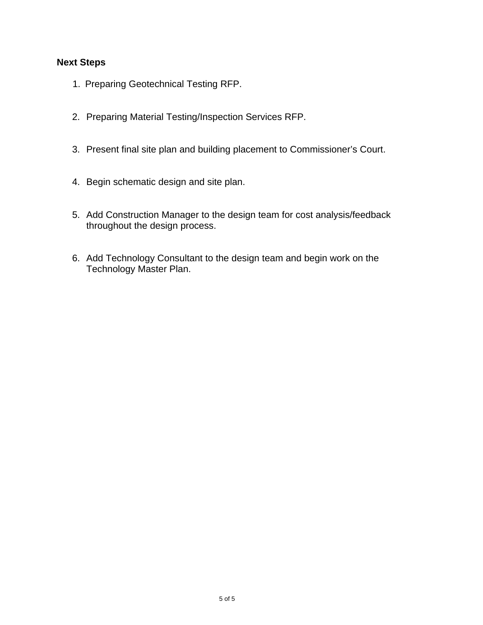# **Next Steps**

- 1. Preparing Geotechnical Testing RFP.
- 2. Preparing Material Testing/Inspection Services RFP.
- 3. Present final site plan and building placement to Commissioner's Court.
- 4. Begin schematic design and site plan.
- 5. Add Construction Manager to the design team for cost analysis/feedback throughout the design process.
- 6. Add Technology Consultant to the design team and begin work on the Technology Master Plan.